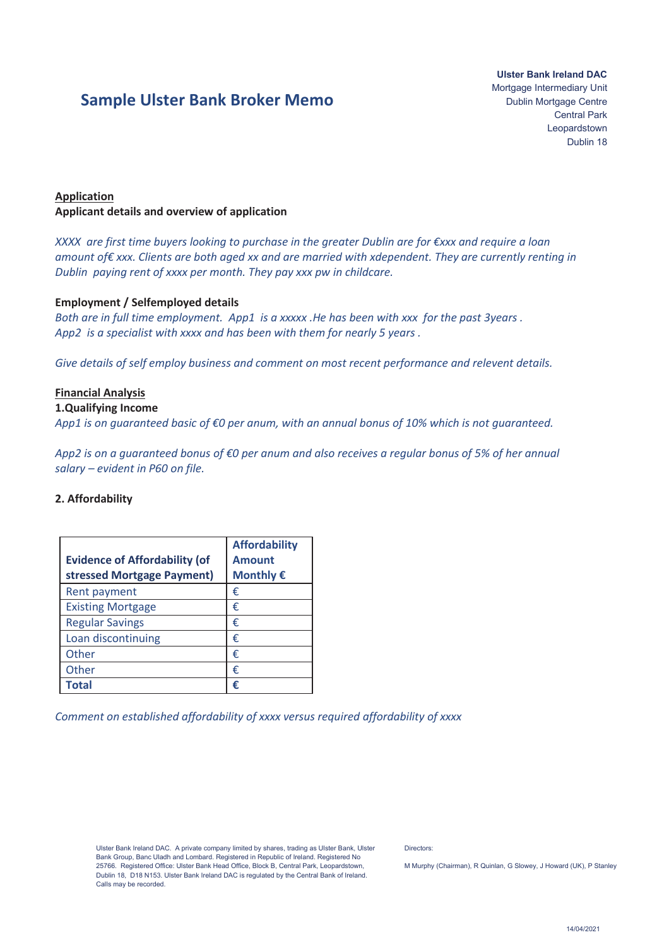# **Sample Ulster Bank Broker Memo**

**Ulster Bank Ireland DAC**  Mortgage Intermediary Unit Dublin Mortgage Centre Central Park Leopardstown Dublin 18

# **Application Applicant details and overview of application**

*XXXX are first time buyers looking to purchase in the greater Dublin are for €xxx and require a loan amount of€ xxx. Clients are both aged xx and are married with xdependent. They are currently renting in Dublin paying rent of xxxx per month. They pay xxx pw in childcare.* 

## **Employment / Selfemployed details**

*Both are in full time employment. App1 is a xxxxx .He has been with xxx for the past 3years . App2 is a specialist with xxxx and has been with them for nearly 5 years .* 

*Give details of self employ business and comment on most recent performance and relevent details.*

## **Financial Analysis**

#### **1.Qualifying Income**

*App1 is on guaranteed basic of €0 per anum, with an annual bonus of 10% which is not guaranteed.* 

*App2 is on a guaranteed bonus of €0 per anum and also receives a regular bonus of 5% of her annual salary – evident in P60 on file.*

#### **2. Affordability**

| <b>Evidence of Affordability (of</b><br>stressed Mortgage Payment) | <b>Affordability</b><br><b>Amount</b><br>Monthly € |
|--------------------------------------------------------------------|----------------------------------------------------|
| Rent payment                                                       | €                                                  |
| <b>Existing Mortgage</b>                                           | €                                                  |
| <b>Regular Savings</b>                                             | €                                                  |
| Loan discontinuing                                                 | €                                                  |
| Other                                                              | €                                                  |
| Other                                                              | €                                                  |
| Total                                                              | €                                                  |

*Comment on established affordability of xxxx versus required affordability of xxxx* 

Ulster Bank Ireland DAC. A private company limited by shares, trading as Ulster Bank, Ulster Bank Group, Banc Uladh and Lombard. Registered in Republic of Ireland. Registered No 25766. Registered Office: Ulster Bank Head Office, Block B, Central Park, Leopardstown, Dublin 18, D18 N153. Ulster Bank Ireland DAC is regulated by the Central Bank of Ireland. Calls may be recorded.

Directors:

M Murphy (Chairman), R Quinlan, G Slowey, J Howard (UK), P Stanley